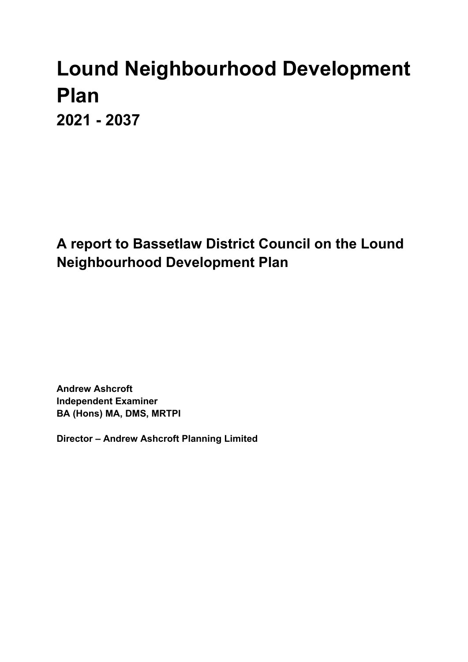# **Lound Neighbourhood Development Plan 2021 - 2037**

**A report to Bassetlaw District Council on the Lound Neighbourhood Development Plan**

**Andrew Ashcroft Independent Examiner BA (Hons) MA, DMS, MRTPI**

**Director – Andrew Ashcroft Planning Limited**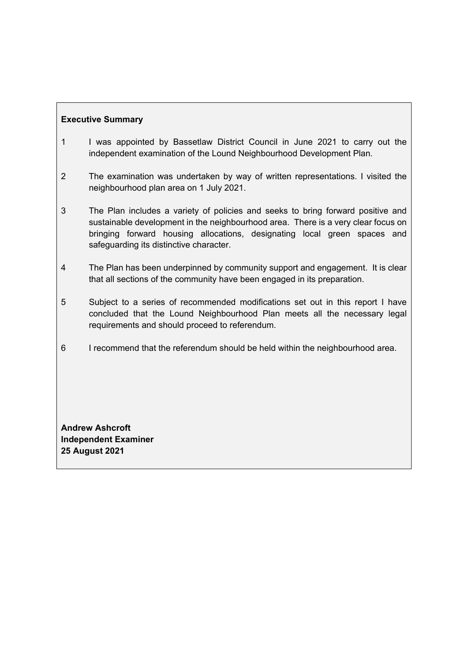# **Executive Summary**

- 1 I was appointed by Bassetlaw District Council in June 2021 to carry out the independent examination of the Lound Neighbourhood Development Plan.
- 2 The examination was undertaken by way of written representations. I visited the neighbourhood plan area on 1 July 2021.
- 3 The Plan includes a variety of policies and seeks to bring forward positive and sustainable development in the neighbourhood area. There is a very clear focus on bringing forward housing allocations, designating local green spaces and safeguarding its distinctive character.
- 4 The Plan has been underpinned by community support and engagement. It is clear that all sections of the community have been engaged in its preparation.
- 5 Subject to a series of recommended modifications set out in this report I have concluded that the Lound Neighbourhood Plan meets all the necessary legal requirements and should proceed to referendum.
- 6 I recommend that the referendum should be held within the neighbourhood area.

**Andrew Ashcroft Independent Examiner 25 August 2021**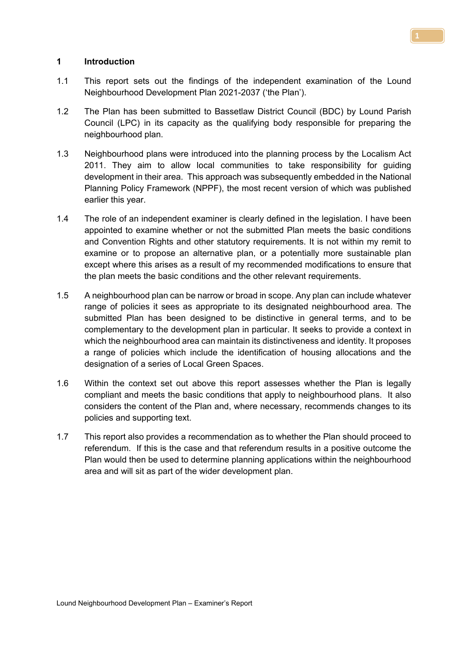## **1 Introduction**

- 1.1 This report sets out the findings of the independent examination of the Lound Neighbourhood Development Plan 2021-2037 ('the Plan').
- 1.2 The Plan has been submitted to Bassetlaw District Council (BDC) by Lound Parish Council (LPC) in its capacity as the qualifying body responsible for preparing the neighbourhood plan.
- 1.3 Neighbourhood plans were introduced into the planning process by the Localism Act 2011. They aim to allow local communities to take responsibility for guiding development in their area. This approach was subsequently embedded in the National Planning Policy Framework (NPPF), the most recent version of which was published earlier this year.
- 1.4 The role of an independent examiner is clearly defined in the legislation. I have been appointed to examine whether or not the submitted Plan meets the basic conditions and Convention Rights and other statutory requirements. It is not within my remit to examine or to propose an alternative plan, or a potentially more sustainable plan except where this arises as a result of my recommended modifications to ensure that the plan meets the basic conditions and the other relevant requirements.
- 1.5 A neighbourhood plan can be narrow or broad in scope. Any plan can include whatever range of policies it sees as appropriate to its designated neighbourhood area. The submitted Plan has been designed to be distinctive in general terms, and to be complementary to the development plan in particular. It seeks to provide a context in which the neighbourhood area can maintain its distinctiveness and identity. It proposes a range of policies which include the identification of housing allocations and the designation of a series of Local Green Spaces.
- 1.6 Within the context set out above this report assesses whether the Plan is legally compliant and meets the basic conditions that apply to neighbourhood plans. It also considers the content of the Plan and, where necessary, recommends changes to its policies and supporting text.
- 1.7 This report also provides a recommendation as to whether the Plan should proceed to referendum. If this is the case and that referendum results in a positive outcome the Plan would then be used to determine planning applications within the neighbourhood area and will sit as part of the wider development plan.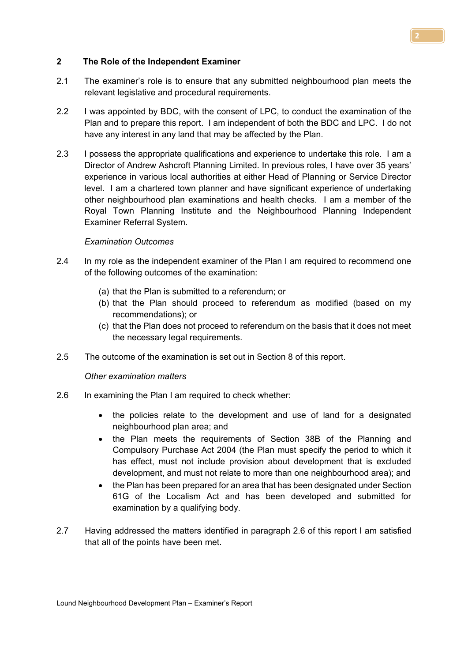## **2 The Role of the Independent Examiner**

- 2.1 The examiner's role is to ensure that any submitted neighbourhood plan meets the relevant legislative and procedural requirements.
- 2.2 I was appointed by BDC, with the consent of LPC, to conduct the examination of the Plan and to prepare this report. I am independent of both the BDC and LPC. I do not have any interest in any land that may be affected by the Plan.
- 2.3 I possess the appropriate qualifications and experience to undertake this role. I am a Director of Andrew Ashcroft Planning Limited. In previous roles, I have over 35 years' experience in various local authorities at either Head of Planning or Service Director level. I am a chartered town planner and have significant experience of undertaking other neighbourhood plan examinations and health checks. I am a member of the Royal Town Planning Institute and the Neighbourhood Planning Independent Examiner Referral System.

#### *Examination Outcomes*

- 2.4 In my role as the independent examiner of the Plan I am required to recommend one of the following outcomes of the examination:
	- (a) that the Plan is submitted to a referendum; or
	- (b) that the Plan should proceed to referendum as modified (based on my recommendations); or
	- (c) that the Plan does not proceed to referendum on the basis that it does not meet the necessary legal requirements.
- 2.5 The outcome of the examination is set out in Section 8 of this report.

## *Other examination matters*

- 2.6 In examining the Plan I am required to check whether:
	- the policies relate to the development and use of land for a designated neighbourhood plan area; and
	- the Plan meets the requirements of Section 38B of the Planning and Compulsory Purchase Act 2004 (the Plan must specify the period to which it has effect, must not include provision about development that is excluded development, and must not relate to more than one neighbourhood area); and
	- the Plan has been prepared for an area that has been designated under Section 61G of the Localism Act and has been developed and submitted for examination by a qualifying body.
- 2.7 Having addressed the matters identified in paragraph 2.6 of this report I am satisfied that all of the points have been met.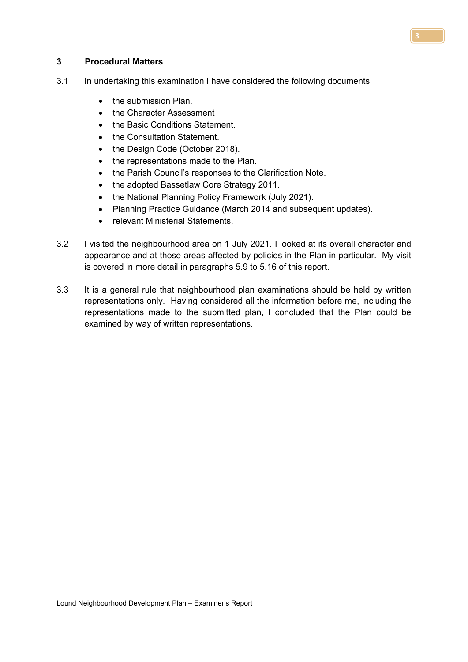## **3 Procedural Matters**

- 3.1 In undertaking this examination I have considered the following documents:
	- the submission Plan.
	- the Character Assessment
	- the Basic Conditions Statement.
	- the Consultation Statement.
	- the Design Code (October 2018).
	- the representations made to the Plan.
	- the Parish Council's responses to the Clarification Note.
	- the adopted Bassetlaw Core Strategy 2011.
	- the National Planning Policy Framework (July 2021).
	- Planning Practice Guidance (March 2014 and subsequent updates).
	- relevant Ministerial Statements.
- 3.2 I visited the neighbourhood area on 1 July 2021. I looked at its overall character and appearance and at those areas affected by policies in the Plan in particular. My visit is covered in more detail in paragraphs 5.9 to 5.16 of this report.
- 3.3 It is a general rule that neighbourhood plan examinations should be held by written representations only. Having considered all the information before me, including the representations made to the submitted plan, I concluded that the Plan could be examined by way of written representations.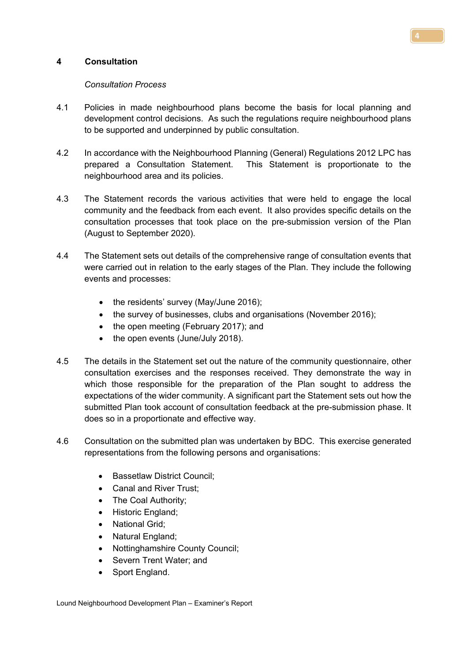# **4 Consultation**

# *Consultation Process*

- 4.1 Policies in made neighbourhood plans become the basis for local planning and development control decisions. As such the regulations require neighbourhood plans to be supported and underpinned by public consultation.
- 4.2 In accordance with the Neighbourhood Planning (General) Regulations 2012 LPC has prepared a Consultation Statement. This Statement is proportionate to the neighbourhood area and its policies.
- 4.3 The Statement records the various activities that were held to engage the local community and the feedback from each event. It also provides specific details on the consultation processes that took place on the pre-submission version of the Plan (August to September 2020).
- 4.4 The Statement sets out details of the comprehensive range of consultation events that were carried out in relation to the early stages of the Plan. They include the following events and processes:
	- the residents' survey (May/June 2016);
	- the survey of businesses, clubs and organisations (November 2016);
	- the open meeting (February 2017); and
	- the open events (June/July 2018).
- 4.5 The details in the Statement set out the nature of the community questionnaire, other consultation exercises and the responses received. They demonstrate the way in which those responsible for the preparation of the Plan sought to address the expectations of the wider community. A significant part the Statement sets out how the submitted Plan took account of consultation feedback at the pre-submission phase. It does so in a proportionate and effective way.
- 4.6 Consultation on the submitted plan was undertaken by BDC. This exercise generated representations from the following persons and organisations:
	- Bassetlaw District Council;
	- Canal and River Trust:
	- The Coal Authority;
	- Historic England;
	- National Grid;
	- Natural England;
	- Nottinghamshire County Council;
	- Severn Trent Water; and
	- Sport England.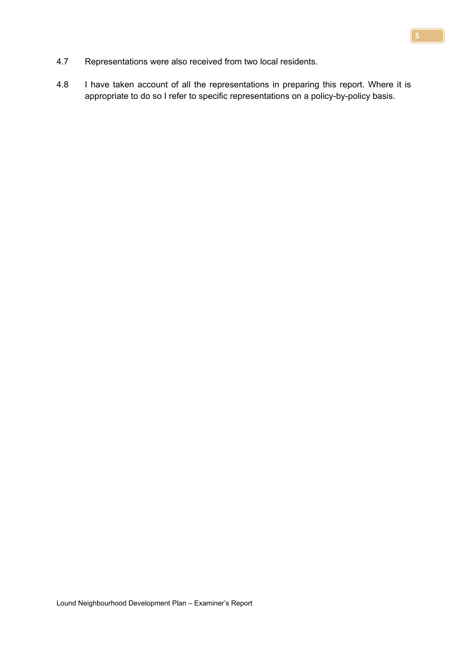- 4.7 Representations were also received from two local residents.
- 4.8 I have taken account of all the representations in preparing this report. Where it is appropriate to do so I refer to specific representations on a policy-by-policy basis.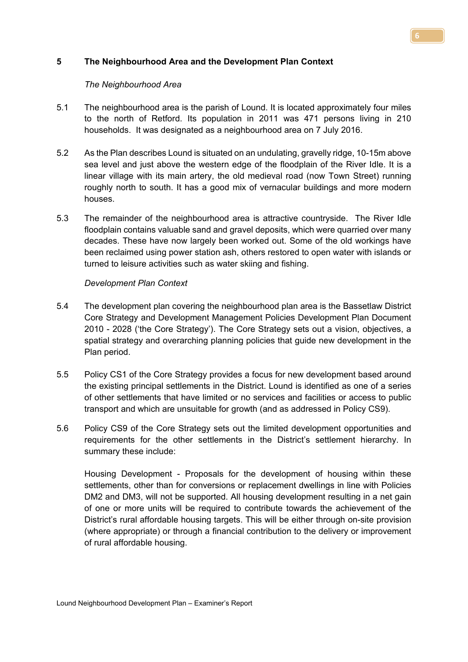# **5 The Neighbourhood Area and the Development Plan Context**

# *The Neighbourhood Area*

- 5.1 The neighbourhood area is the parish of Lound. It is located approximately four miles to the north of Retford. Its population in 2011 was 471 persons living in 210 households. It was designated as a neighbourhood area on 7 July 2016.
- 5.2 As the Plan describes Lound is situated on an undulating, gravelly ridge, 10-15m above sea level and just above the western edge of the floodplain of the River Idle. It is a linear village with its main artery, the old medieval road (now Town Street) running roughly north to south. It has a good mix of vernacular buildings and more modern houses.
- 5.3 The remainder of the neighbourhood area is attractive countryside. The River Idle floodplain contains valuable sand and gravel deposits, which were quarried over many decades. These have now largely been worked out. Some of the old workings have been reclaimed using power station ash, others restored to open water with islands or turned to leisure activities such as water skiing and fishing.

# *Development Plan Context*

- 5.4 The development plan covering the neighbourhood plan area is the Bassetlaw District Core Strategy and Development Management Policies Development Plan Document 2010 - 2028 ('the Core Strategy'). The [Core Strategy](http://molevalley-consult.limehouse.co.uk/portal/cs/cs_-_adopted_oct_2009/core_strategy_-_adopted_october_2009_1?pointId=906692) sets out a vision, objectives, a spatial strategy and overarching planning policies that guide new development in the Plan period.
- 5.5 Policy CS1 of the Core Strategy provides a focus for new development based around the existing principal settlements in the District. Lound is identified as one of a series of other settlements that have limited or no services and facilities or access to public transport and which are unsuitable for growth (and as addressed in Policy CS9).
- 5.6 Policy CS9 of the Core Strategy sets out the limited development opportunities and requirements for the other settlements in the District's settlement hierarchy. In summary these include:

Housing Development - Proposals for the development of housing within these settlements, other than for conversions or replacement dwellings in line with Policies DM2 and DM3, will not be supported. All housing development resulting in a net gain of one or more units will be required to contribute towards the achievement of the District's rural affordable housing targets. This will be either through on-site provision (where appropriate) or through a financial contribution to the delivery or improvement of rural affordable housing.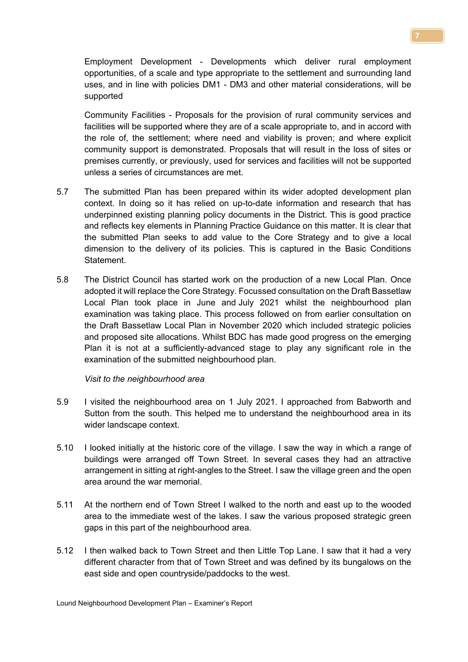Employment Development - Developments which deliver rural employment opportunities, of a scale and type appropriate to the settlement and surrounding land uses, and in line with policies DM1 - DM3 and other material considerations, will be supported

Community Facilities - Proposals for the provision of rural community services and facilities will be supported where they are of a scale appropriate to, and in accord with the role of, the settlement; where need and viability is proven; and where explicit community support is demonstrated. Proposals that will result in the loss of sites or premises currently, or previously, used for services and facilities will not be supported unless a series of circumstances are met.

- 5.7 The submitted Plan has been prepared within its wider adopted development plan context. In doing so it has relied on up-to-date information and research that has underpinned existing planning policy documents in the District. This is good practice and reflects key elements in Planning Practice Guidance on this matter. It is clear that the submitted Plan seeks to add value to the Core Strategy and to give a local dimension to the delivery of its policies. This is captured in the Basic Conditions Statement.
- 5.8 The District Council has started work on the production of a new Local Plan. Once adopted it will replace the Core Strategy. Focussed consultation on the Draft Bassetlaw Local Plan took place in June and July 2021 whilst the neighbourhood plan examination was taking place. This process followed on from earlier consultation on the Draft Bassetlaw Local Plan in November 2020 which included strategic policies and proposed site allocations. Whilst BDC has made good progress on the emerging Plan it is not at a sufficiently-advanced stage to play any significant role in the examination of the submitted neighbourhood plan.

*Visit to the neighbourhood area*

- 5.9 I visited the neighbourhood area on 1 July 2021. I approached from Babworth and Sutton from the south. This helped me to understand the neighbourhood area in its wider landscape context.
- 5.10 I looked initially at the historic core of the village. I saw the way in which a range of buildings were arranged off Town Street. In several cases they had an attractive arrangement in sitting at right-angles to the Street. I saw the village green and the open area around the war memorial.
- 5.11 At the northern end of Town Street I walked to the north and east up to the wooded area to the immediate west of the lakes. I saw the various proposed strategic green gaps in this part of the neighbourhood area.
- 5.12 I then walked back to Town Street and then Little Top Lane. I saw that it had a very different character from that of Town Street and was defined by its bungalows on the east side and open countryside/paddocks to the west.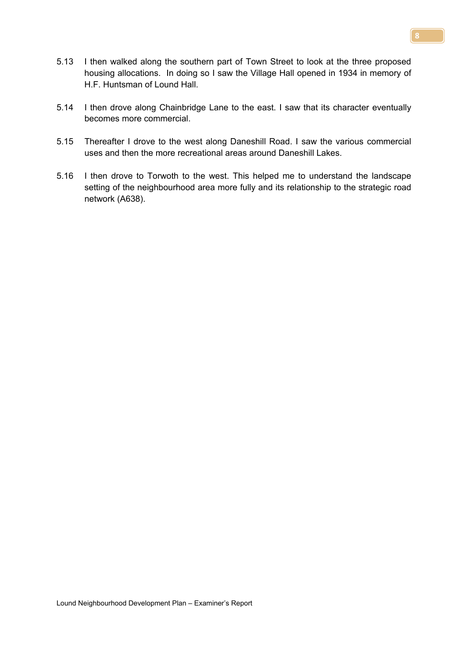- 5.13 I then walked along the southern part of Town Street to look at the three proposed housing allocations. In doing so I saw the Village Hall opened in 1934 in memory of H.F. Huntsman of Lound Hall.
- 5.14 I then drove along Chainbridge Lane to the east. I saw that its character eventually becomes more commercial.
- 5.15 Thereafter I drove to the west along Daneshill Road. I saw the various commercial uses and then the more recreational areas around Daneshill Lakes.
- 5.16 I then drove to Torwoth to the west. This helped me to understand the landscape setting of the neighbourhood area more fully and its relationship to the strategic road network (A638).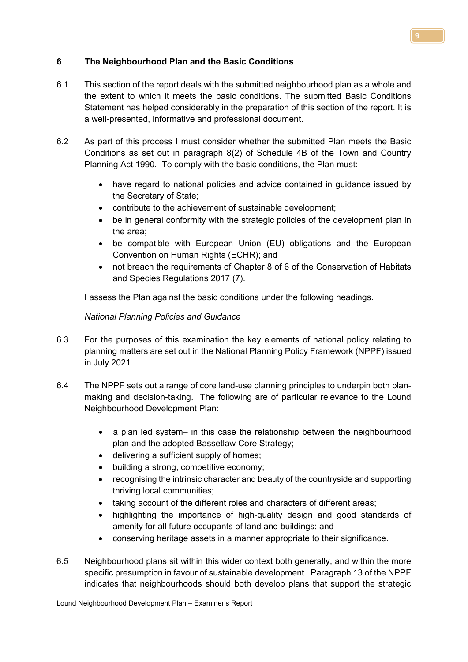# **6 The Neighbourhood Plan and the Basic Conditions**

- 6.1 This section of the report deals with the submitted neighbourhood plan as a whole and the extent to which it meets the basic conditions. The submitted Basic Conditions Statement has helped considerably in the preparation of this section of the report. It is a well-presented, informative and professional document.
- 6.2 As part of this process I must consider whether the submitted Plan meets the Basic Conditions as set out in paragraph 8(2) of Schedule 4B of the Town and Country Planning Act 1990. To comply with the basic conditions, the Plan must:
	- have regard to national policies and advice contained in guidance issued by the Secretary of State;
	- contribute to the achievement of sustainable development;
	- be in general conformity with the strategic policies of the development plan in the area;
	- be compatible with European Union (EU) obligations and the European Convention on Human Rights (ECHR); and
	- not breach the requirements of Chapter 8 of 6 of the Conservation of Habitats and Species Regulations 2017 (7).

I assess the Plan against the basic conditions under the following headings.

# *National Planning Policies and Guidance*

- 6.3 For the purposes of this examination the key elements of national policy relating to planning matters are set out in the National Planning Policy Framework (NPPF) issued in July 2021.
- 6.4 The NPPF sets out a range of core land-use planning principles to underpin both planmaking and decision-taking. The following are of particular relevance to the Lound Neighbourhood Development Plan:
	- a plan led system– in this case the relationship between the neighbourhood plan and the adopted Bassetlaw Core Strategy;
	- delivering a sufficient supply of homes;
	- building a strong, competitive economy;
	- recognising the intrinsic character and beauty of the countryside and supporting thriving local communities;
	- taking account of the different roles and characters of different areas;
	- highlighting the importance of high-quality design and good standards of amenity for all future occupants of land and buildings; and
	- conserving heritage assets in a manner appropriate to their significance.
- 6.5 Neighbourhood plans sit within this wider context both generally, and within the more specific presumption in favour of sustainable development. Paragraph 13 of the NPPF indicates that neighbourhoods should both develop plans that support the strategic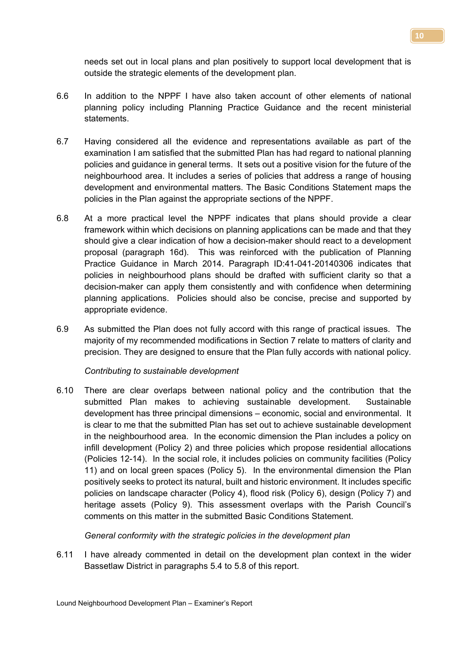needs set out in local plans and plan positively to support local development that is outside the strategic elements of the development plan.

- 6.6 In addition to the NPPF I have also taken account of other elements of national planning policy including Planning Practice Guidance and the recent ministerial statements.
- 6.7 Having considered all the evidence and representations available as part of the examination I am satisfied that the submitted Plan has had regard to national planning policies and guidance in general terms. It sets out a positive vision for the future of the neighbourhood area. It includes a series of policies that address a range of housing development and environmental matters. The Basic Conditions Statement maps the policies in the Plan against the appropriate sections of the NPPF.
- 6.8 At a more practical level the NPPF indicates that plans should provide a clear framework within which decisions on planning applications can be made and that they should give a clear indication of how a decision-maker should react to a development proposal (paragraph 16d). This was reinforced with the publication of Planning Practice Guidance in March 2014. Paragraph ID:41-041-20140306 indicates that policies in neighbourhood plans should be drafted with sufficient clarity so that a decision-maker can apply them consistently and with confidence when determining planning applications. Policies should also be concise, precise and supported by appropriate evidence.
- 6.9 As submitted the Plan does not fully accord with this range of practical issues. The majority of my recommended modifications in Section 7 relate to matters of clarity and precision. They are designed to ensure that the Plan fully accords with national policy.

# *Contributing to sustainable development*

6.10 There are clear overlaps between national policy and the contribution that the submitted Plan makes to achieving sustainable development. Sustainable development has three principal dimensions – economic, social and environmental. It is clear to me that the submitted Plan has set out to achieve sustainable development in the neighbourhood area. In the economic dimension the Plan includes a policy on infill development (Policy 2) and three policies which propose residential allocations (Policies 12-14). In the social role, it includes policies on community facilities (Policy 11) and on local green spaces (Policy 5). In the environmental dimension the Plan positively seeks to protect its natural, built and historic environment. It includes specific policies on landscape character (Policy 4), flood risk (Policy 6), design (Policy 7) and heritage assets (Policy 9). This assessment overlaps with the Parish Council's comments on this matter in the submitted Basic Conditions Statement.

# *General conformity with the strategic policies in the development plan*

6.11 I have already commented in detail on the development plan context in the wider Bassetlaw District in paragraphs 5.4 to 5.8 of this report.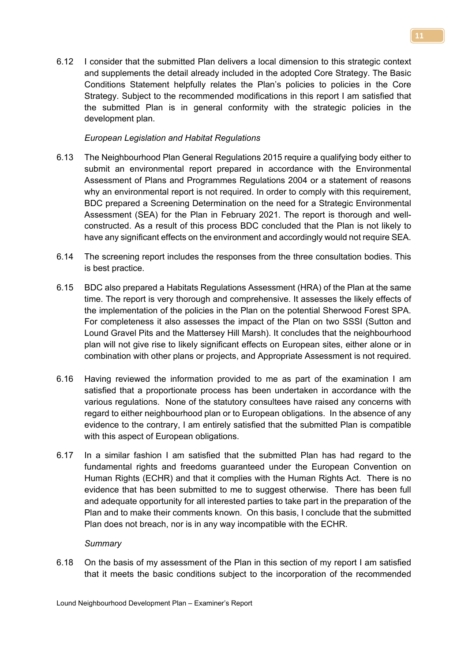6.12 I consider that the submitted Plan delivers a local dimension to this strategic context and supplements the detail already included in the adopted Core Strategy. The Basic Conditions Statement helpfully relates the Plan's policies to policies in the Core Strategy. Subject to the recommended modifications in this report I am satisfied that the submitted Plan is in general conformity with the strategic policies in the development plan.

#### *European Legislation and Habitat Regulations*

- 6.13 The Neighbourhood Plan General Regulations 2015 require a qualifying body either to submit an environmental report prepared in accordance with the Environmental Assessment of Plans and Programmes Regulations 2004 or a statement of reasons why an environmental report is not required. In order to comply with this requirement, BDC prepared a Screening Determination on the need for a Strategic Environmental Assessment (SEA) for the Plan in February 2021. The report is thorough and wellconstructed. As a result of this process BDC concluded that the Plan is not likely to have any significant effects on the environment and accordingly would not require SEA.
- 6.14 The screening report includes the responses from the three consultation bodies. This is best practice.
- 6.15 BDC also prepared a Habitats Regulations Assessment (HRA) of the Plan at the same time. The report is very thorough and comprehensive. It assesses the likely effects of the implementation of the policies in the Plan on the potential Sherwood Forest SPA. For completeness it also assesses the impact of the Plan on two SSSI (Sutton and Lound Gravel Pits and the Mattersey Hill Marsh). It concludes that the neighbourhood plan will not give rise to likely significant effects on European sites, either alone or in combination with other plans or projects, and Appropriate Assessment is not required.
- 6.16 Having reviewed the information provided to me as part of the examination I am satisfied that a proportionate process has been undertaken in accordance with the various regulations. None of the statutory consultees have raised any concerns with regard to either neighbourhood plan or to European obligations. In the absence of any evidence to the contrary, I am entirely satisfied that the submitted Plan is compatible with this aspect of European obligations.
- 6.17 In a similar fashion I am satisfied that the submitted Plan has had regard to the fundamental rights and freedoms guaranteed under the European Convention on Human Rights (ECHR) and that it complies with the Human Rights Act. There is no evidence that has been submitted to me to suggest otherwise. There has been full and adequate opportunity for all interested parties to take part in the preparation of the Plan and to make their comments known. On this basis, I conclude that the submitted Plan does not breach, nor is in any way incompatible with the ECHR.

#### *Summary*

6.18 On the basis of my assessment of the Plan in this section of my report I am satisfied that it meets the basic conditions subject to the incorporation of the recommended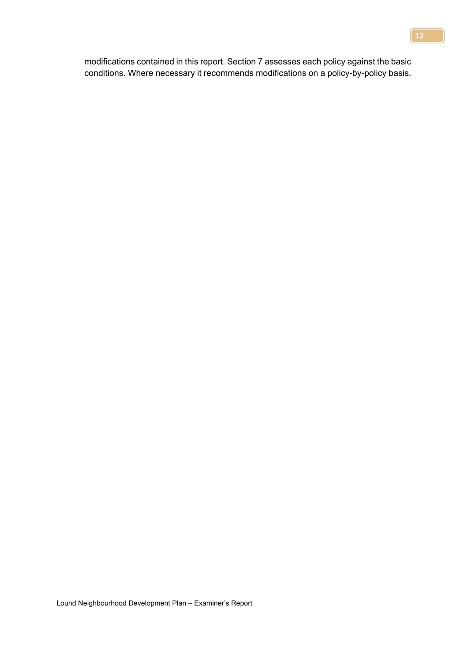modifications contained in this report. Section 7 assesses each policy against the basic conditions. Where necessary it recommends modifications on a policy-by-policy basis.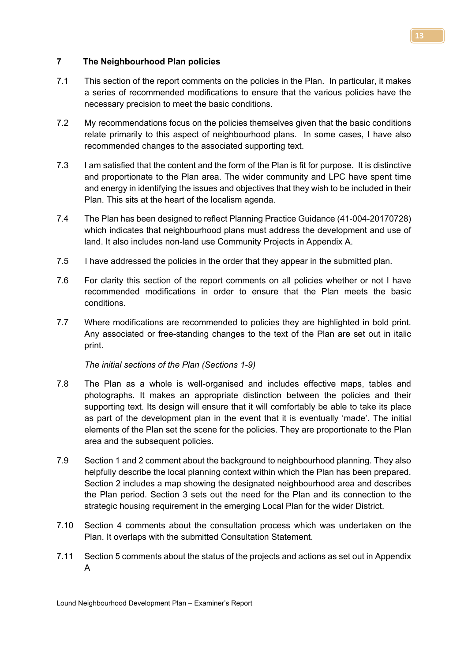# **7 The Neighbourhood Plan policies**

- 7.1 This section of the report comments on the policies in the Plan. In particular, it makes a series of recommended modifications to ensure that the various policies have the necessary precision to meet the basic conditions.
- 7.2 My recommendations focus on the policies themselves given that the basic conditions relate primarily to this aspect of neighbourhood plans. In some cases, I have also recommended changes to the associated supporting text.
- 7.3 I am satisfied that the content and the form of the Plan is fit for purpose. It is distinctive and proportionate to the Plan area. The wider community and LPC have spent time and energy in identifying the issues and objectives that they wish to be included in their Plan. This sits at the heart of the localism agenda.
- 7.4 The Plan has been designed to reflect Planning Practice Guidance (41-004-20170728) which indicates that neighbourhood plans must address the development and use of land. It also includes non-land use Community Projects in Appendix A.
- 7.5 I have addressed the policies in the order that they appear in the submitted plan.
- 7.6 For clarity this section of the report comments on all policies whether or not I have recommended modifications in order to ensure that the Plan meets the basic conditions.
- 7.7 Where modifications are recommended to policies they are highlighted in bold print. Any associated or free-standing changes to the text of the Plan are set out in italic print.

*The initial sections of the Plan (Sections 1-9)*

- 7.8 The Plan as a whole is well-organised and includes effective maps, tables and photographs. It makes an appropriate distinction between the policies and their supporting text. Its design will ensure that it will comfortably be able to take its place as part of the development plan in the event that it is eventually 'made'. The initial elements of the Plan set the scene for the policies. They are proportionate to the Plan area and the subsequent policies.
- 7.9 Section 1 and 2 comment about the background to neighbourhood planning. They also helpfully describe the local planning context within which the Plan has been prepared. Section 2 includes a map showing the designated neighbourhood area and describes the Plan period. Section 3 sets out the need for the Plan and its connection to the strategic housing requirement in the emerging Local Plan for the wider District.
- 7.10 Section 4 comments about the consultation process which was undertaken on the Plan. It overlaps with the submitted Consultation Statement.
- 7.11 Section 5 comments about the status of the projects and actions as set out in Appendix A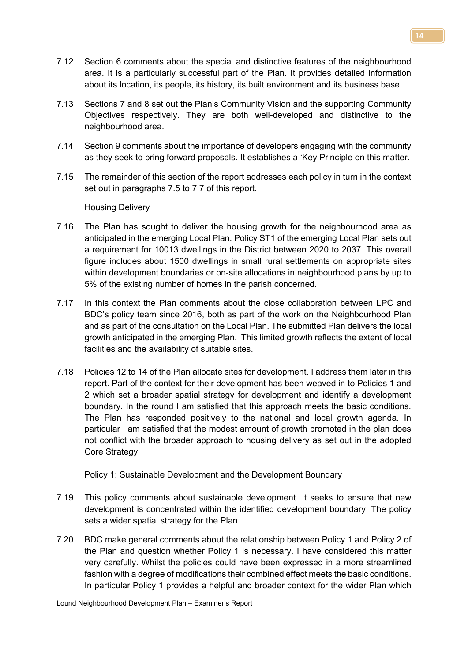- 7.12 Section 6 comments about the special and distinctive features of the neighbourhood area. It is a particularly successful part of the Plan. It provides detailed information about its location, its people, its history, its built environment and its business base.
- 7.13 Sections 7 and 8 set out the Plan's Community Vision and the supporting Community Objectives respectively. They are both well-developed and distinctive to the neighbourhood area.
- 7.14 Section 9 comments about the importance of developers engaging with the community as they seek to bring forward proposals. It establishes a 'Key Principle on this matter.
- 7.15 The remainder of this section of the report addresses each policy in turn in the context set out in paragraphs 7.5 to 7.7 of this report.

Housing Delivery

- 7.16 The Plan has sought to deliver the housing growth for the neighbourhood area as anticipated in the emerging Local Plan. Policy ST1 of the emerging Local Plan sets out a requirement for 10013 dwellings in the District between 2020 to 2037. This overall figure includes about 1500 dwellings in small rural settlements on appropriate sites within development boundaries or on-site allocations in neighbourhood plans by up to 5% of the existing number of homes in the parish concerned.
- 7.17 In this context the Plan comments about the close collaboration between LPC and BDC's policy team since 2016, both as part of the work on the Neighbourhood Plan and as part of the consultation on the Local Plan. The submitted Plan delivers the local growth anticipated in the emerging Plan. This limited growth reflects the extent of local facilities and the availability of suitable sites.
- 7.18 Policies 12 to 14 of the Plan allocate sites for development. I address them later in this report. Part of the context for their development has been weaved in to Policies 1 and 2 which set a broader spatial strategy for development and identify a development boundary. In the round I am satisfied that this approach meets the basic conditions. The Plan has responded positively to the national and local growth agenda. In particular I am satisfied that the modest amount of growth promoted in the plan does not conflict with the broader approach to housing delivery as set out in the adopted Core Strategy.

Policy 1: Sustainable Development and the Development Boundary

- 7.19 This policy comments about sustainable development. It seeks to ensure that new development is concentrated within the identified development boundary. The policy sets a wider spatial strategy for the Plan.
- 7.20 BDC make general comments about the relationship between Policy 1 and Policy 2 of the Plan and question whether Policy 1 is necessary. I have considered this matter very carefully. Whilst the policies could have been expressed in a more streamlined fashion with a degree of modifications their combined effect meets the basic conditions. In particular Policy 1 provides a helpful and broader context for the wider Plan which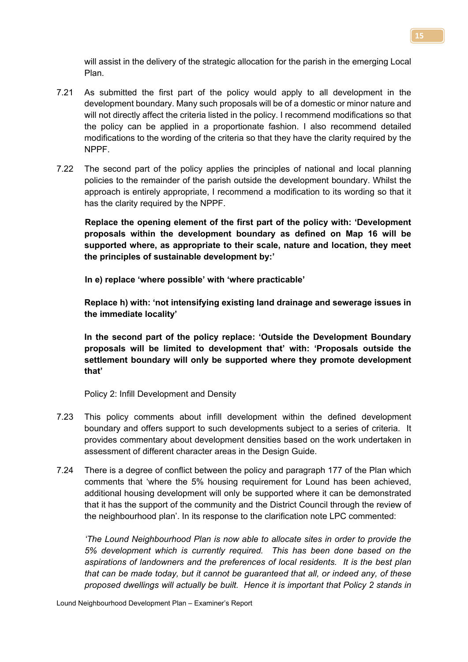will assist in the delivery of the strategic allocation for the parish in the emerging Local Plan.

- 7.21 As submitted the first part of the policy would apply to all development in the development boundary. Many such proposals will be of a domestic or minor nature and will not directly affect the criteria listed in the policy. I recommend modifications so that the policy can be applied in a proportionate fashion. I also recommend detailed modifications to the wording of the criteria so that they have the clarity required by the NPPF.
- 7.22 The second part of the policy applies the principles of national and local planning policies to the remainder of the parish outside the development boundary. Whilst the approach is entirely appropriate, I recommend a modification to its wording so that it has the clarity required by the NPPF.

**Replace the opening element of the first part of the policy with: 'Development proposals within the development boundary as defined on Map 16 will be supported where, as appropriate to their scale, nature and location, they meet the principles of sustainable development by:'**

**In e) replace 'where possible' with 'where practicable'**

**Replace h) with: 'not intensifying existing land drainage and sewerage issues in the immediate locality'**

**In the second part of the policy replace: 'Outside the Development Boundary proposals will be limited to development that' with: 'Proposals outside the settlement boundary will only be supported where they promote development that'**

Policy 2: Infill Development and Density

- 7.23 This policy comments about infill development within the defined development boundary and offers support to such developments subject to a series of criteria. It provides commentary about development densities based on the work undertaken in assessment of different character areas in the Design Guide.
- 7.24 There is a degree of conflict between the policy and paragraph 177 of the Plan which comments that 'where the 5% housing requirement for Lound has been achieved, additional housing development will only be supported where it can be demonstrated that it has the support of the community and the District Council through the review of the neighbourhood plan'. In its response to the clarification note LPC commented:

*'The Lound Neighbourhood Plan is now able to allocate sites in order to provide the 5% development which is currently required. This has been done based on the aspirations of landowners and the preferences of local residents. It is the best plan that can be made today, but it cannot be guaranteed that all, or indeed any, of these proposed dwellings will actually be built. Hence it is important that Policy 2 stands in*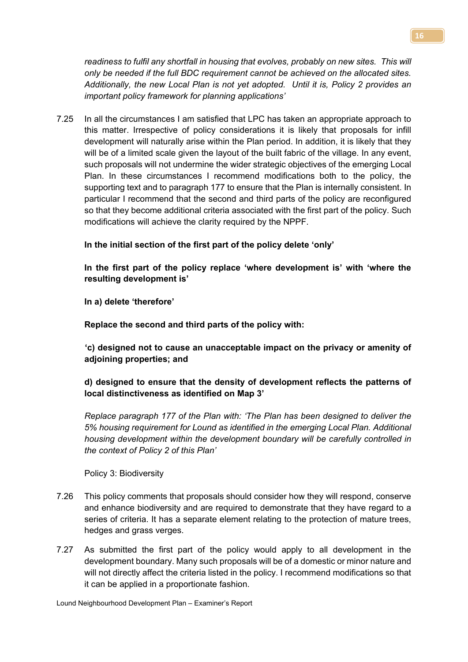readiness to fulfil any shortfall in housing that evolves, probably on new sites. This will *only be needed if the full BDC requirement cannot be achieved on the allocated sites. Additionally, the new Local Plan is not yet adopted. Until it is, Policy 2 provides an important policy framework for planning applications'*

7.25 In all the circumstances I am satisfied that LPC has taken an appropriate approach to this matter. Irrespective of policy considerations it is likely that proposals for infill development will naturally arise within the Plan period. In addition, it is likely that they will be of a limited scale given the layout of the built fabric of the village. In any event, such proposals will not undermine the wider strategic objectives of the emerging Local Plan. In these circumstances I recommend modifications both to the policy, the supporting text and to paragraph 177 to ensure that the Plan is internally consistent. In particular I recommend that the second and third parts of the policy are reconfigured so that they become additional criteria associated with the first part of the policy. Such modifications will achieve the clarity required by the NPPF.

# **In the initial section of the first part of the policy delete 'only'**

**In the first part of the policy replace 'where development is' with 'where the resulting development is'**

**In a) delete 'therefore'**

**Replace the second and third parts of the policy with:** 

**'c) designed not to cause an unacceptable impact on the privacy or amenity of adjoining properties; and**

# **d) designed to ensure that the density of development reflects the patterns of local distinctiveness as identified on Map 3'**

*Replace paragraph 177 of the Plan with: 'The Plan has been designed to deliver the 5% housing requirement for Lound as identified in the emerging Local Plan. Additional housing development within the development boundary will be carefully controlled in the context of Policy 2 of this Plan'* 

Policy 3: Biodiversity

- 7.26 This policy comments that proposals should consider how they will respond, conserve and enhance biodiversity and are required to demonstrate that they have regard to a series of criteria. It has a separate element relating to the protection of mature trees, hedges and grass verges.
- 7.27 As submitted the first part of the policy would apply to all development in the development boundary. Many such proposals will be of a domestic or minor nature and will not directly affect the criteria listed in the policy. I recommend modifications so that it can be applied in a proportionate fashion.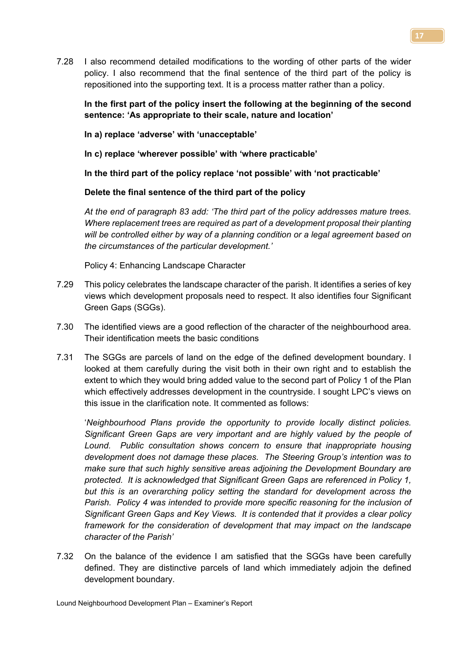7.28 I also recommend detailed modifications to the wording of other parts of the wider policy. I also recommend that the final sentence of the third part of the policy is repositioned into the supporting text. It is a process matter rather than a policy.

# **In the first part of the policy insert the following at the beginning of the second sentence: 'As appropriate to their scale, nature and location'**

**In a) replace 'adverse' with 'unacceptable'**

**In c) replace 'wherever possible' with 'where practicable'**

**In the third part of the policy replace 'not possible' with 'not practicable'**

# **Delete the final sentence of the third part of the policy**

*At the end of paragraph 83 add: 'The third part of the policy addresses mature trees. Where replacement trees are required as part of a development proposal their planting will be controlled either by way of a planning condition or a legal agreement based on the circumstances of the particular development.'*

Policy 4: Enhancing Landscape Character

- 7.29 This policy celebrates the landscape character of the parish. It identifies a series of key views which development proposals need to respect. It also identifies four Significant Green Gaps (SGGs).
- 7.30 The identified views are a good reflection of the character of the neighbourhood area. Their identification meets the basic conditions
- 7.31 The SGGs are parcels of land on the edge of the defined development boundary. I looked at them carefully during the visit both in their own right and to establish the extent to which they would bring added value to the second part of Policy 1 of the Plan which effectively addresses development in the countryside. I sought LPC's views on this issue in the clarification note. It commented as follows:

'*Neighbourhood Plans provide the opportunity to provide locally distinct policies. Significant Green Gaps are very important and are highly valued by the people of*  Lound. Public consultation shows concern to ensure that inappropriate housing *development does not damage these places. The Steering Group's intention was to make sure that such highly sensitive areas adjoining the Development Boundary are protected. It is acknowledged that Significant Green Gaps are referenced in Policy 1, but this is an overarching policy setting the standard for development across the Parish. Policy 4 was intended to provide more specific reasoning for the inclusion of Significant Green Gaps and Key Views. It is contended that it provides a clear policy framework for the consideration of development that may impact on the landscape character of the Parish'*

7.32 On the balance of the evidence I am satisfied that the SGGs have been carefully defined. They are distinctive parcels of land which immediately adjoin the defined development boundary.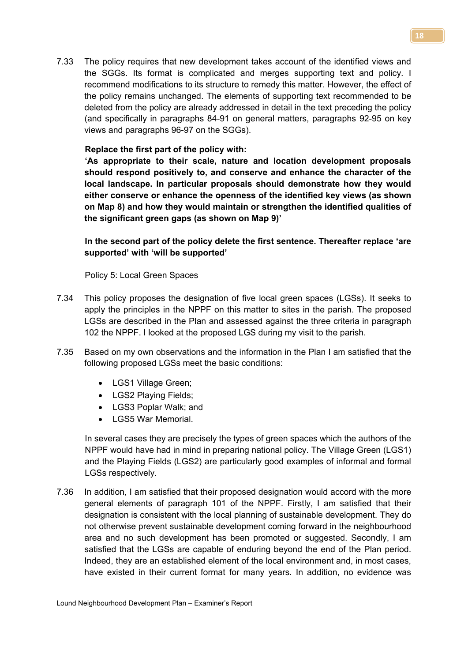7.33 The policy requires that new development takes account of the identified views and the SGGs. Its format is complicated and merges supporting text and policy. I recommend modifications to its structure to remedy this matter. However, the effect of the policy remains unchanged. The elements of supporting text recommended to be deleted from the policy are already addressed in detail in the text preceding the policy (and specifically in paragraphs 84-91 on general matters, paragraphs 92-95 on key views and paragraphs 96-97 on the SGGs).

# **Replace the first part of the policy with:**

**'As appropriate to their scale, nature and location development proposals should respond positively to, and conserve and enhance the character of the local landscape. In particular proposals should demonstrate how they would either conserve or enhance the openness of the identified key views (as shown on Map 8) and how they would maintain or strengthen the identified qualities of the significant green gaps (as shown on Map 9)'**

**In the second part of the policy delete the first sentence. Thereafter replace 'are supported' with 'will be supported'**

Policy 5: Local Green Spaces

- 7.34 This policy proposes the designation of five local green spaces (LGSs). It seeks to apply the principles in the NPPF on this matter to sites in the parish. The proposed LGSs are described in the Plan and assessed against the three criteria in paragraph 102 the NPPF. I looked at the proposed LGS during my visit to the parish.
- 7.35 Based on my own observations and the information in the Plan I am satisfied that the following proposed LGSs meet the basic conditions:
	- LGS1 Village Green;
	- LGS2 Playing Fields;
	- LGS3 Poplar Walk; and
	- LGS5 War Memorial

In several cases they are precisely the types of green spaces which the authors of the NPPF would have had in mind in preparing national policy. The Village Green (LGS1) and the Playing Fields (LGS2) are particularly good examples of informal and formal LGSs respectively.

7.36 In addition, I am satisfied that their proposed designation would accord with the more general elements of paragraph 101 of the NPPF. Firstly, I am satisfied that their designation is consistent with the local planning of sustainable development. They do not otherwise prevent sustainable development coming forward in the neighbourhood area and no such development has been promoted or suggested. Secondly, I am satisfied that the LGSs are capable of enduring beyond the end of the Plan period. Indeed, they are an established element of the local environment and, in most cases, have existed in their current format for many years. In addition, no evidence was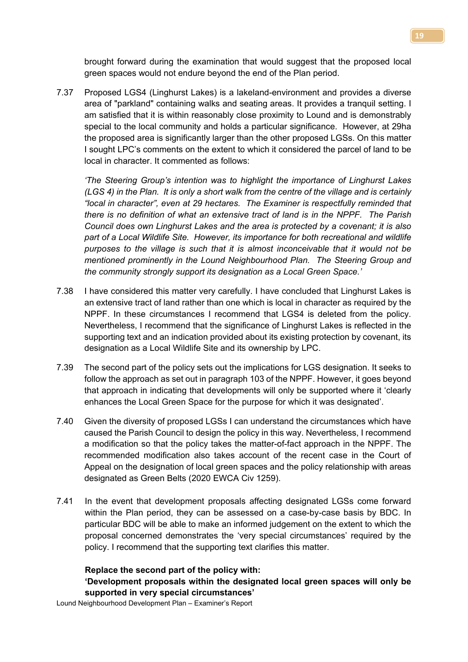brought forward during the examination that would suggest that the proposed local green spaces would not endure beyond the end of the Plan period.

7.37 Proposed LGS4 (Linghurst Lakes) is a lakeland-environment and provides a diverse area of "parkland" containing walks and seating areas. It provides a tranquil setting. I am satisfied that it is within reasonably close proximity to Lound and is demonstrably special to the local community and holds a particular significance. However, at 29ha the proposed area is significantly larger than the other proposed LGSs. On this matter I sought LPC's comments on the extent to which it considered the parcel of land to be local in character. It commented as follows:

*'The Steering Group's intention was to highlight the importance of Linghurst Lakes (LGS 4) in the Plan. It is only a short walk from the centre of the village and is certainly "local in character", even at 29 hectares. The Examiner is respectfully reminded that there is no definition of what an extensive tract of land is in the NPPF. The Parish Council does own Linghurst Lakes and the area is protected by a covenant; it is also part of a Local Wildlife Site. However, its importance for both recreational and wildlife purposes to the village is such that it is almost inconceivable that it would not be mentioned prominently in the Lound Neighbourhood Plan. The Steering Group and the community strongly support its designation as a Local Green Space.'*

- 7.38 I have considered this matter very carefully. I have concluded that Linghurst Lakes is an extensive tract of land rather than one which is local in character as required by the NPPF. In these circumstances I recommend that LGS4 is deleted from the policy. Nevertheless, I recommend that the significance of Linghurst Lakes is reflected in the supporting text and an indication provided about its existing protection by covenant, its designation as a Local Wildlife Site and its ownership by LPC.
- 7.39 The second part of the policy sets out the implications for LGS designation. It seeks to follow the approach as set out in paragraph 103 of the NPPF. However, it goes beyond that approach in indicating that developments will only be supported where it 'clearly enhances the Local Green Space for the purpose for which it was designated'.
- 7.40 Given the diversity of proposed LGSs I can understand the circumstances which have caused the Parish Council to design the policy in this way. Nevertheless, I recommend a modification so that the policy takes the matter-of-fact approach in the NPPF. The recommended modification also takes account of the recent case in the Court of Appeal on the designation of local green spaces and the policy relationship with areas designated as Green Belts (2020 EWCA Civ 1259).
- 7.41 In the event that development proposals affecting designated LGSs come forward within the Plan period, they can be assessed on a case-by-case basis by BDC. In particular BDC will be able to make an informed judgement on the extent to which the proposal concerned demonstrates the 'very special circumstances' required by the policy. I recommend that the supporting text clarifies this matter.

# **Replace the second part of the policy with: 'Development proposals within the designated local green spaces will only be supported in very special circumstances'**

Lound Neighbourhood Development Plan – Examiner's Report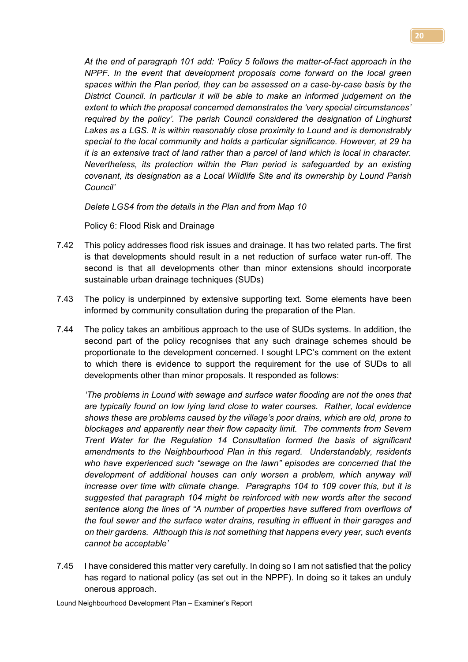*At the end of paragraph 101 add: 'Policy 5 follows the matter-of-fact approach in the NPPF. In the event that development proposals come forward on the local green spaces within the Plan period, they can be assessed on a case-by-case basis by the District Council. In particular it will be able to make an informed judgement on the extent to which the proposal concerned demonstrates the 'very special circumstances' required by the policy'. The parish Council considered the designation of Linghurst Lakes as a LGS. It is within reasonably close proximity to Lound and is demonstrably special to the local community and holds a particular significance. However, at 29 ha it is an extensive tract of land rather than a parcel of land which is local in character. Nevertheless, its protection within the Plan period is safeguarded by an existing covenant, its designation as a Local Wildlife Site and its ownership by Lound Parish Council'*

*Delete LGS4 from the details in the Plan and from Map 10*

Policy 6: Flood Risk and Drainage

- 7.42 This policy addresses flood risk issues and drainage. It has two related parts. The first is that developments should result in a net reduction of surface water run-off. The second is that all developments other than minor extensions should incorporate sustainable urban drainage techniques (SUDs)
- 7.43 The policy is underpinned by extensive supporting text. Some elements have been informed by community consultation during the preparation of the Plan.
- 7.44 The policy takes an ambitious approach to the use of SUDs systems. In addition, the second part of the policy recognises that any such drainage schemes should be proportionate to the development concerned. I sought LPC's comment on the extent to which there is evidence to support the requirement for the use of SUDs to all developments other than minor proposals. It responded as follows:

*'The problems in Lound with sewage and surface water flooding are not the ones that are typically found on low lying land close to water courses. Rather, local evidence shows these are problems caused by the village's poor drains, which are old, prone to blockages and apparently near their flow capacity limit. The comments from Severn Trent Water for the Regulation 14 Consultation formed the basis of significant amendments to the Neighbourhood Plan in this regard. Understandably, residents who have experienced such "sewage on the lawn" episodes are concerned that the development of additional houses can only worsen a problem, which anyway will increase over time with climate change. Paragraphs 104 to 109 cover this, but it is suggested that paragraph 104 might be reinforced with new words after the second sentence along the lines of "A number of properties have suffered from overflows of the foul sewer and the surface water drains, resulting in effluent in their garages and on their gardens. Although this is not something that happens every year, such events cannot be acceptable'*

7.45 I have considered this matter very carefully. In doing so I am not satisfied that the policy has regard to national policy (as set out in the NPPF). In doing so it takes an unduly onerous approach.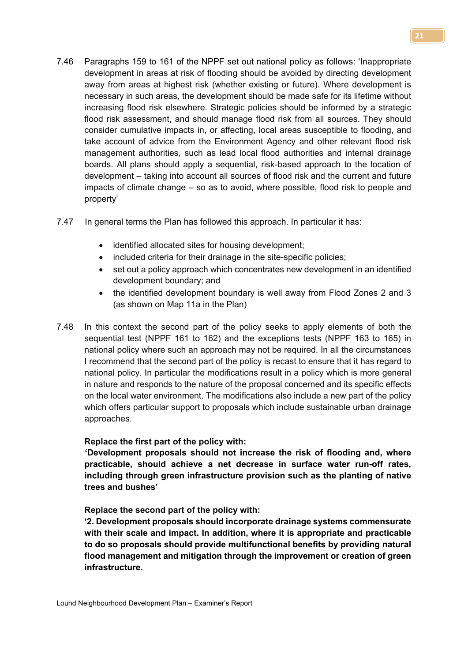- 7.46 Paragraphs 159 to 161 of the NPPF set out national policy as follows: 'Inappropriate development in areas at risk of flooding should be avoided by directing development away from areas at highest risk (whether existing or future). Where development is necessary in such areas, the development should be made safe for its lifetime without increasing flood risk elsewhere. Strategic policies should be informed by a strategic flood risk assessment, and should manage flood risk from all sources. They should consider cumulative impacts in, or affecting, local areas susceptible to flooding, and take account of advice from the Environment Agency and other relevant flood risk management authorities, such as lead local flood authorities and internal drainage boards. All plans should apply a sequential, risk-based approach to the location of development – taking into account all sources of flood risk and the current and future impacts of climate change – so as to avoid, where possible, flood risk to people and property'
- 7.47 In general terms the Plan has followed this approach. In particular it has:
	- identified allocated sites for housing development;
	- included criteria for their drainage in the site-specific policies;
	- set out a policy approach which concentrates new development in an identified development boundary; and
	- the identified development boundary is well away from Flood Zones 2 and 3 (as shown on Map 11a in the Plan)
- 7.48 In this context the second part of the policy seeks to apply elements of both the sequential test (NPPF 161 to 162) and the exceptions tests (NPPF 163 to 165) in national policy where such an approach may not be required. In all the circumstances I recommend that the second part of the policy is recast to ensure that it has regard to national policy. In particular the modifications result in a policy which is more general in nature and responds to the nature of the proposal concerned and its specific effects on the local water environment. The modifications also include a new part of the policy which offers particular support to proposals which include sustainable urban drainage approaches.

# **Replace the first part of the policy with:**

**'Development proposals should not increase the risk of flooding and, where practicable, should achieve a net decrease in surface water run-off rates, including through green infrastructure provision such as the planting of native trees and bushes'**

# **Replace the second part of the policy with:**

**'2. Development proposals should incorporate drainage systems commensurate with their scale and impact. In addition, where it is appropriate and practicable to do so proposals should provide multifunctional benefits by providing natural flood management and mitigation through the improvement or creation of green infrastructure.**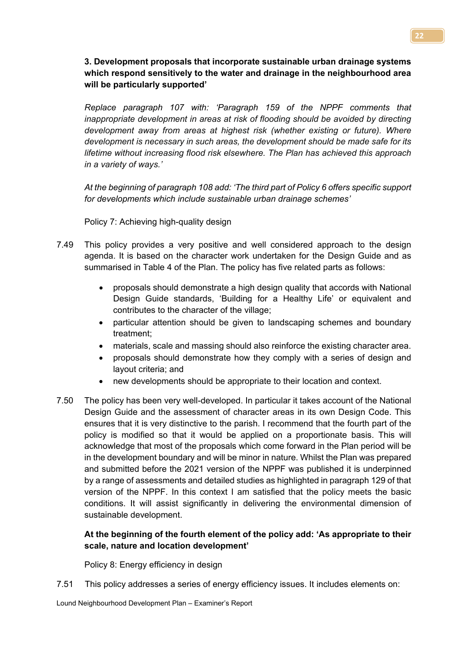# **3. Development proposals that incorporate sustainable urban drainage systems which respond sensitively to the water and drainage in the neighbourhood area will be particularly supported'**

*Replace paragraph 107 with: 'Paragraph 159 of the NPPF comments that inappropriate development in areas at risk of flooding should be avoided by directing development away from areas at highest risk (whether existing or future). Where development is necessary in such areas, the development should be made safe for its lifetime without increasing flood risk elsewhere. The Plan has achieved this approach in a variety of ways.'*

*At the beginning of paragraph 108 add: 'The third part of Policy 6 offers specific support for developments which include sustainable urban drainage schemes'* 

Policy 7: Achieving high-quality design

- 7.49 This policy provides a very positive and well considered approach to the design agenda. It is based on the character work undertaken for the Design Guide and as summarised in Table 4 of the Plan. The policy has five related parts as follows:
	- proposals should demonstrate a high design quality that accords with National Design Guide standards, 'Building for a Healthy Life' or equivalent and contributes to the character of the village;
	- particular attention should be given to landscaping schemes and boundary treatment;
	- materials, scale and massing should also reinforce the existing character area.
	- proposals should demonstrate how they comply with a series of design and layout criteria; and
	- new developments should be appropriate to their location and context.
- 7.50 The policy has been very well-developed. In particular it takes account of the National Design Guide and the assessment of character areas in its own Design Code. This ensures that it is very distinctive to the parish. I recommend that the fourth part of the policy is modified so that it would be applied on a proportionate basis. This will acknowledge that most of the proposals which come forward in the Plan period will be in the development boundary and will be minor in nature. Whilst the Plan was prepared and submitted before the 2021 version of the NPPF was published it is underpinned by a range of assessments and detailed studies as highlighted in paragraph 129 of that version of the NPPF. In this context I am satisfied that the policy meets the basic conditions. It will assist significantly in delivering the environmental dimension of sustainable development.

# **At the beginning of the fourth element of the policy add: 'As appropriate to their scale, nature and location development'**

Policy 8: Energy efficiency in design

7.51 This policy addresses a series of energy efficiency issues. It includes elements on: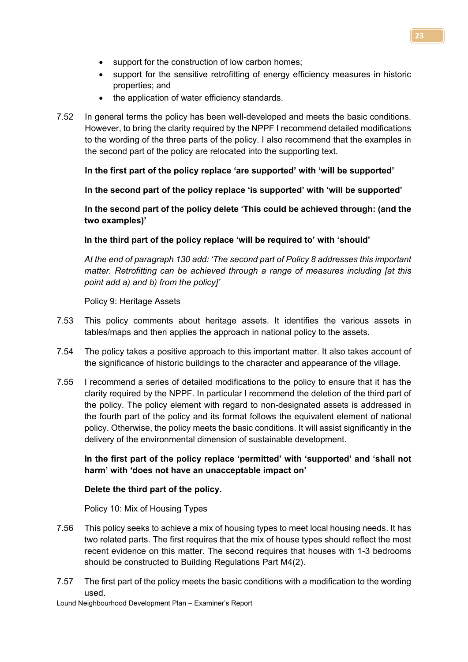- support for the construction of low carbon homes;
- support for the sensitive retrofitting of energy efficiency measures in historic properties; and
- the application of water efficiency standards.
- 7.52 In general terms the policy has been well-developed and meets the basic conditions. However, to bring the clarity required by the NPPF I recommend detailed modifications to the wording of the three parts of the policy. I also recommend that the examples in the second part of the policy are relocated into the supporting text.

**In the first part of the policy replace 'are supported' with 'will be supported'** 

**In the second part of the policy replace 'is supported' with 'will be supported'** 

**In the second part of the policy delete 'This could be achieved through: (and the two examples)'**

**In the third part of the policy replace 'will be required to' with 'should'**

*At the end of paragraph 130 add: 'The second part of Policy 8 addresses this important matter. Retrofitting can be achieved through a range of measures including [at this point add a) and b) from the policy]'*

Policy 9: Heritage Assets

- 7.53 This policy comments about heritage assets. It identifies the various assets in tables/maps and then applies the approach in national policy to the assets.
- 7.54 The policy takes a positive approach to this important matter. It also takes account of the significance of historic buildings to the character and appearance of the village.
- 7.55 I recommend a series of detailed modifications to the policy to ensure that it has the clarity required by the NPPF. In particular I recommend the deletion of the third part of the policy. The policy element with regard to non-designated assets is addressed in the fourth part of the policy and its format follows the equivalent element of national policy. Otherwise, the policy meets the basic conditions. It will assist significantly in the delivery of the environmental dimension of sustainable development.

**In the first part of the policy replace 'permitted' with 'supported' and 'shall not harm' with 'does not have an unacceptable impact on'**

# **Delete the third part of the policy.**

Policy 10: Mix of Housing Types

- 7.56 This policy seeks to achieve a mix of housing types to meet local housing needs. It has two related parts. The first requires that the mix of house types should reflect the most recent evidence on this matter. The second requires that houses with 1-3 bedrooms should be constructed to Building Regulations Part M4(2).
- 7.57 The first part of the policy meets the basic conditions with a modification to the wording used.

Lound Neighbourhood Development Plan – Examiner's Report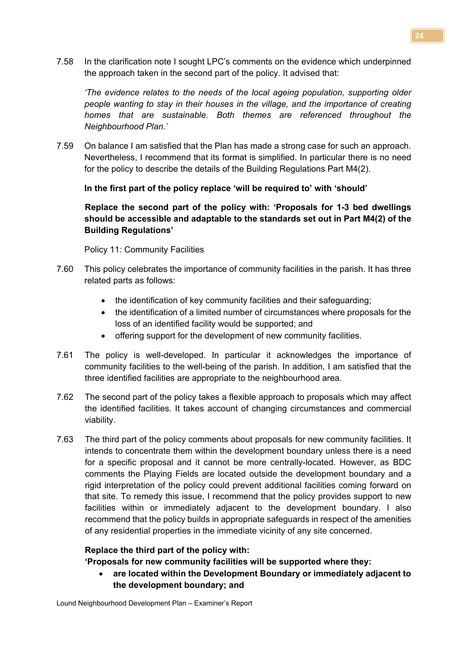7.58 In the clarification note I sought LPC's comments on the evidence which underpinned the approach taken in the second part of the policy. It advised that:

*'The evidence relates to the needs of the local ageing population, supporting older people wanting to stay in their houses in the village, and the importance of creating homes that are sustainable. Both themes are referenced throughout the Neighbourhood Plan.'*

7.59 On balance I am satisfied that the Plan has made a strong case for such an approach. Nevertheless, I recommend that its format is simplified. In particular there is no need for the policy to describe the details of the Building Regulations Part M4(2).

# **In the first part of the policy replace 'will be required to' with 'should'**

**Replace the second part of the policy with: 'Proposals for 1-3 bed dwellings should be accessible and adaptable to the standards set out in Part M4(2) of the Building Regulations'**

Policy 11: Community Facilities

- 7.60 This policy celebrates the importance of community facilities in the parish. It has three related parts as follows:
	- the identification of key community facilities and their safeguarding:
	- the identification of a limited number of circumstances where proposals for the loss of an identified facility would be supported; and
	- offering support for the development of new community facilities.
- 7.61 The policy is well-developed. In particular it acknowledges the importance of community facilities to the well-being of the parish. In addition, I am satisfied that the three identified facilities are appropriate to the neighbourhood area.
- 7.62 The second part of the policy takes a flexible approach to proposals which may affect the identified facilities. It takes account of changing circumstances and commercial viability.
- 7.63 The third part of the policy comments about proposals for new community facilities. It intends to concentrate them within the development boundary unless there is a need for a specific proposal and it cannot be more centrally-located. However, as BDC comments the Playing Fields are located outside the development boundary and a rigid interpretation of the policy could prevent additional facilities coming forward on that site. To remedy this issue, I recommend that the policy provides support to new facilities within or immediately adjacent to the development boundary. I also recommend that the policy builds in appropriate safeguards in respect of the amenities of any residential properties in the immediate vicinity of any site concerned.

# **Replace the third part of the policy with:**

**'Proposals for new community facilities will be supported where they:**

• **are located within the Development Boundary or immediately adjacent to the development boundary; and**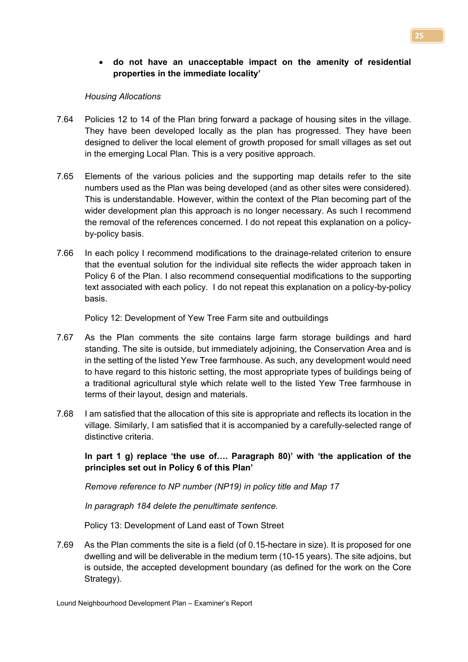# • **do not have an unacceptable impact on the amenity of residential properties in the immediate locality'**

#### *Housing Allocations*

- 7.64 Policies 12 to 14 of the Plan bring forward a package of housing sites in the village. They have been developed locally as the plan has progressed. They have been designed to deliver the local element of growth proposed for small villages as set out in the emerging Local Plan. This is a very positive approach.
- 7.65 Elements of the various policies and the supporting map details refer to the site numbers used as the Plan was being developed (and as other sites were considered). This is understandable. However, within the context of the Plan becoming part of the wider development plan this approach is no longer necessary. As such I recommend the removal of the references concerned. I do not repeat this explanation on a policyby-policy basis.
- 7.66 In each policy I recommend modifications to the drainage-related criterion to ensure that the eventual solution for the individual site reflects the wider approach taken in Policy 6 of the Plan. I also recommend consequential modifications to the supporting text associated with each policy. I do not repeat this explanation on a policy-by-policy basis.

Policy 12: Development of Yew Tree Farm site and outbuildings

- 7.67 As the Plan comments the site contains large farm storage buildings and hard standing. The site is outside, but immediately adjoining, the Conservation Area and is in the setting of the listed Yew Tree farmhouse. As such, any development would need to have regard to this historic setting, the most appropriate types of buildings being of a traditional agricultural style which relate well to the listed Yew Tree farmhouse in terms of their layout, design and materials.
- 7.68 I am satisfied that the allocation of this site is appropriate and reflects its location in the village. Similarly, I am satisfied that it is accompanied by a carefully-selected range of distinctive criteria.

**In part 1 g) replace 'the use of…. Paragraph 80)' with 'the application of the principles set out in Policy 6 of this Plan'**

*Remove reference to NP number (NP19) in policy title and Map 17*

*In paragraph 184 delete the penultimate sentence.*

Policy 13: Development of Land east of Town Street

7.69 As the Plan comments the site is a field (of 0.15-hectare in size). It is proposed for one dwelling and will be deliverable in the medium term (10-15 years). The site adjoins, but is outside, the accepted development boundary (as defined for the work on the Core Strategy).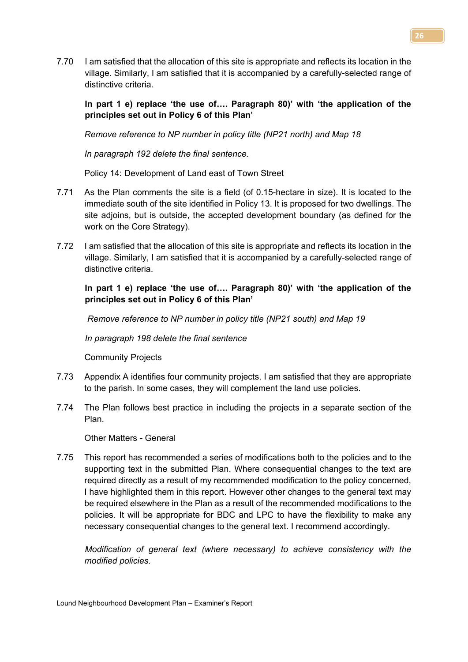7.70 I am satisfied that the allocation of this site is appropriate and reflects its location in the village. Similarly, I am satisfied that it is accompanied by a carefully-selected range of distinctive criteria.

**In part 1 e) replace 'the use of…. Paragraph 80)' with 'the application of the principles set out in Policy 6 of this Plan'**

*Remove reference to NP number in policy title (NP21 north) and Map 18*

*In paragraph 192 delete the final sentence.*

Policy 14: Development of Land east of Town Street

- 7.71 As the Plan comments the site is a field (of 0.15-hectare in size). It is located to the immediate south of the site identified in Policy 13. It is proposed for two dwellings. The site adjoins, but is outside, the accepted development boundary (as defined for the work on the Core Strategy).
- 7.72 I am satisfied that the allocation of this site is appropriate and reflects its location in the village. Similarly, I am satisfied that it is accompanied by a carefully-selected range of distinctive criteria.

# **In part 1 e) replace 'the use of…. Paragraph 80)' with 'the application of the principles set out in Policy 6 of this Plan'**

*Remove reference to NP number in policy title (NP21 south) and Map 19*

*In paragraph 198 delete the final sentence*

Community Projects

- 7.73 Appendix A identifies four community projects. I am satisfied that they are appropriate to the parish. In some cases, they will complement the land use policies.
- 7.74 The Plan follows best practice in including the projects in a separate section of the Plan.

Other Matters - General

7.75 This report has recommended a series of modifications both to the policies and to the supporting text in the submitted Plan. Where consequential changes to the text are required directly as a result of my recommended modification to the policy concerned, I have highlighted them in this report. However other changes to the general text may be required elsewhere in the Plan as a result of the recommended modifications to the policies. It will be appropriate for BDC and LPC to have the flexibility to make any necessary consequential changes to the general text. I recommend accordingly.

*Modification of general text (where necessary) to achieve consistency with the modified policies.*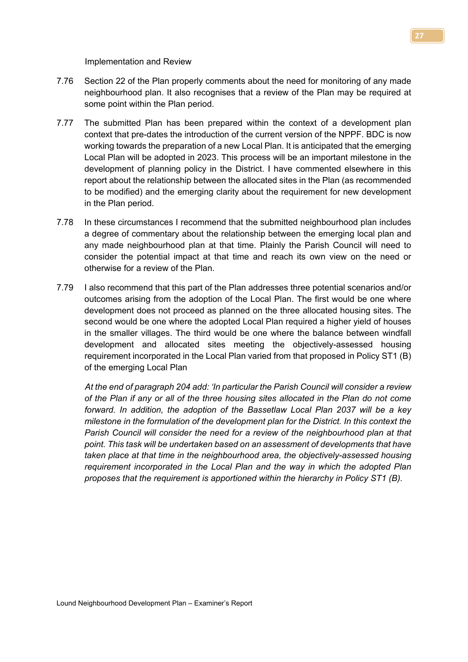Implementation and Review

- 7.76 Section 22 of the Plan properly comments about the need for monitoring of any made neighbourhood plan. It also recognises that a review of the Plan may be required at some point within the Plan period.
- 7.77 The submitted Plan has been prepared within the context of a development plan context that pre-dates the introduction of the current version of the NPPF. BDC is now working towards the preparation of a new Local Plan. It is anticipated that the emerging Local Plan will be adopted in 2023. This process will be an important milestone in the development of planning policy in the District. I have commented elsewhere in this report about the relationship between the allocated sites in the Plan (as recommended to be modified) and the emerging clarity about the requirement for new development in the Plan period.
- 7.78 In these circumstances I recommend that the submitted neighbourhood plan includes a degree of commentary about the relationship between the emerging local plan and any made neighbourhood plan at that time. Plainly the Parish Council will need to consider the potential impact at that time and reach its own view on the need or otherwise for a review of the Plan.
- 7.79 I also recommend that this part of the Plan addresses three potential scenarios and/or outcomes arising from the adoption of the Local Plan. The first would be one where development does not proceed as planned on the three allocated housing sites. The second would be one where the adopted Local Plan required a higher yield of houses in the smaller villages. The third would be one where the balance between windfall development and allocated sites meeting the objectively-assessed housing requirement incorporated in the Local Plan varied from that proposed in Policy ST1 (B) of the emerging Local Plan

*At the end of paragraph 204 add: 'In particular the Parish Council will consider a review of the Plan if any or all of the three housing sites allocated in the Plan do not come forward. In addition, the adoption of the Bassetlaw Local Plan 2037 will be a key milestone in the formulation of the development plan for the District. In this context the Parish Council will consider the need for a review of the neighbourhood plan at that point. This task will be undertaken based on an assessment of developments that have taken place at that time in the neighbourhood area, the objectively-assessed housing requirement incorporated in the Local Plan and the way in which the adopted Plan proposes that the requirement is apportioned within the hierarchy in Policy ST1 (B).*